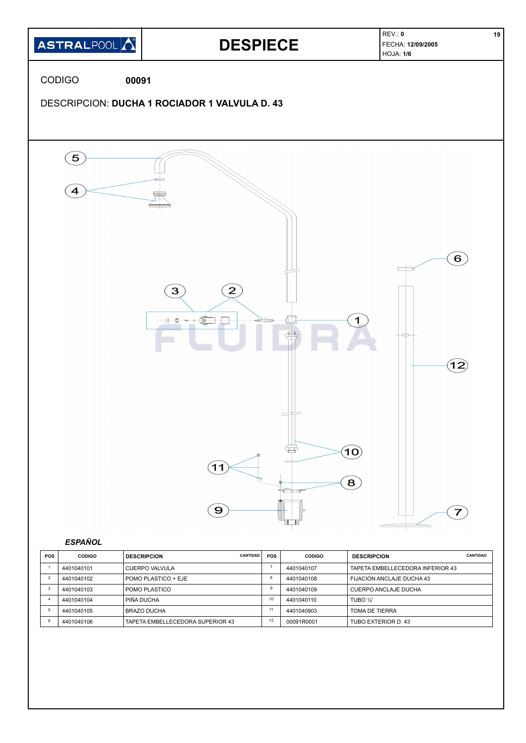

| <b>POS</b> | <b>CODIGO</b> | <b>CANTIDAD</b><br><b>DESCRIPCION</b> | POS | <b>CODIGO</b> | <b>DESCRIPCION</b>               | CANTIDAD |
|------------|---------------|---------------------------------------|-----|---------------|----------------------------------|----------|
|            | 4401040101    | l CUERPO VALVULA                      |     | 4401040107    | TAPETA EMBELLECEDORA INFERIOR 43 |          |
|            | 4401040102    | I POMO PLASTICO + EJE                 |     | 4401040108    | FIJACION ANCLAJE DUCHA 43        |          |
|            | 4401040103    | I POMO PLASTICO                       |     | 4401040109    | CUERPO ANCLAJE DUCHA             |          |
|            | 4401040104    | <b>PIÑA DUCHA</b>                     | 10  | 4401040110    | TUBO 1/3                         |          |
|            | 4401040105    | I BRAZO DUCHA                         |     | 4401040903    | TOMA DE TIERRA                   |          |
|            | 4401040106    | TAPETA EMBELLECEDORA SUPERIOR 43      | 12  | 00091R0001    | TUBO EXTERIOR D. 43              |          |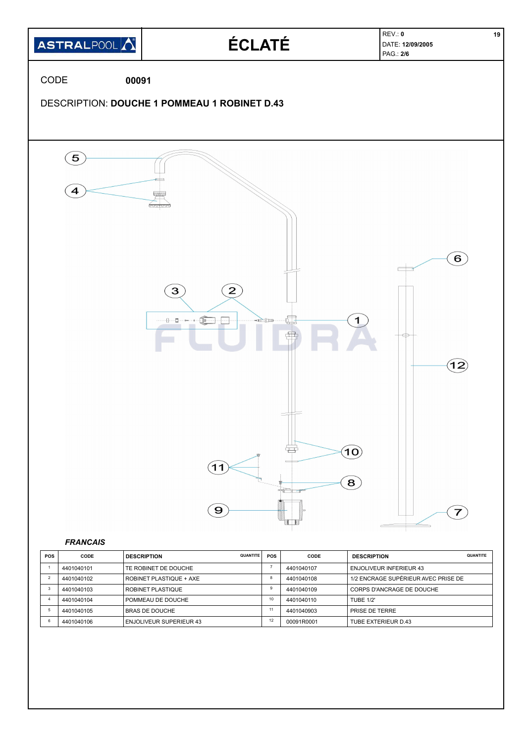

| <b>FRANCAIS</b> |
|-----------------|
|-----------------|

| <b>POS</b> | CODE       | <b>QUANTITE</b><br><b>DESCRIPTION</b> | <b>POS</b> | CODE       | <b>QUANTITE</b><br><b>DESCRIPTION</b> |
|------------|------------|---------------------------------------|------------|------------|---------------------------------------|
|            | 4401040101 | TE ROBINET DE DOUCHE                  |            | 4401040107 | <b>ENJOLIVEUR INFERIEUR 43</b>        |
|            | 4401040102 | ROBINET PLASTIQUE + AXE               | - 8        | 4401040108 | 1/2 ENCRAGE SUPÉRIEUR AVEC PRISE DE   |
|            | 4401040103 | ROBINET PLASTIQUE                     | g          | 4401040109 | CORPS D'ANCRAGE DE DOUCHE             |
|            | 4401040104 | POMMEAU DE DOUCHE                     | 10         | 4401040110 | TURF 1/2"                             |
|            | 4401040105 | BRAS DE DOUCHE                        | 11         | 4401040903 | PRISE DE TERRE                        |
|            | 4401040106 | <b>ENJOLIVEUR SUPERIEUR 43</b>        | 12         | 00091R0001 | TUBE EXTERIEUR D.43                   |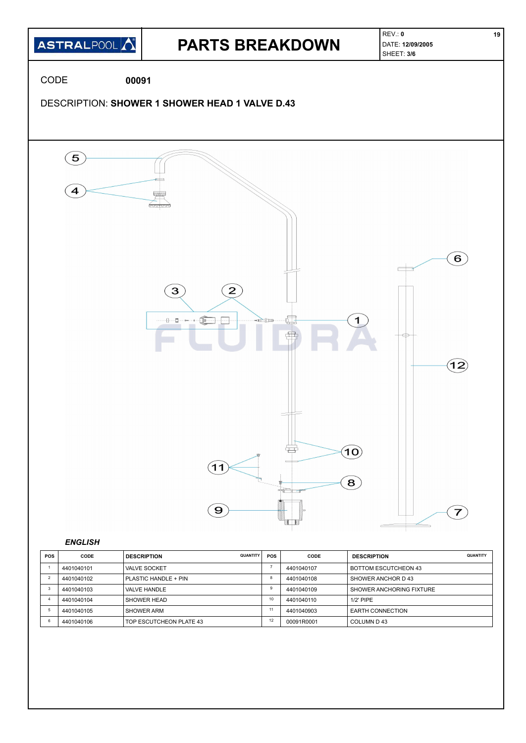

| <b>POS</b> | CODE       | <b>QUANTITY</b><br><b>DESCRIPTION</b> | POS | CODE       | <b>DESCRIPTION</b>          | QUANTITY |
|------------|------------|---------------------------------------|-----|------------|-----------------------------|----------|
|            | 4401040101 | <b>VALVE SOCKET</b>                   |     | 4401040107 | <b>BOTTOM ESCUTCHEON 43</b> |          |
|            | 4401040102 | PLASTIC HANDLE + PIN                  | ŏ   | 4401040108 | SHOWER ANCHOR D 43          |          |
|            | 4401040103 | VALVE HANDLE                          | 9   | 4401040109 | SHOWER ANCHORING FIXTURE    |          |
|            | 4401040104 | SHOWER HEAD                           | 10  | 4401040110 | $1/2$ ' PIPE                |          |
|            | 4401040105 | SHOWER ARM                            | 11  | 4401040903 | <b>EARTH CONNECTION</b>     |          |
|            | 4401040106 | TOP ESCUTCHEON PLATE 43               | 12  | 00091R0001 | COLUMN D 43                 |          |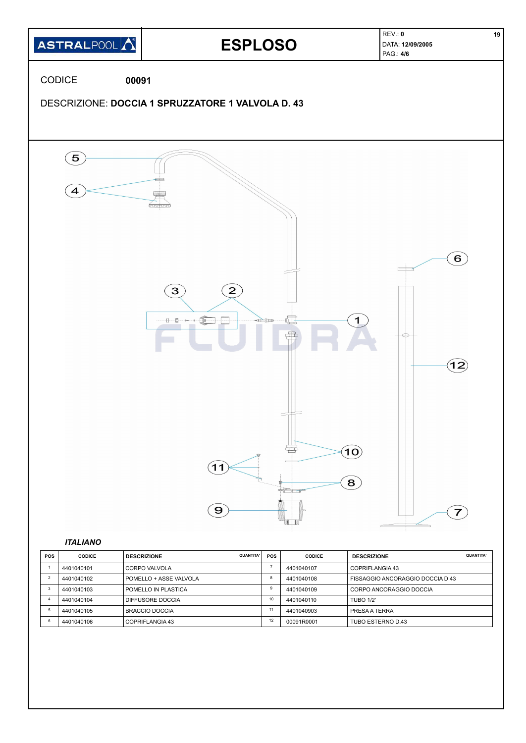

| POS | <b>CODICE</b> | <b>QUANTITA'</b><br><b>DESCRIZIONE</b> | <b>POS</b> | <b>CODICE</b> | <b>DESCRIZIONE</b>               | QUANTITA' |
|-----|---------------|----------------------------------------|------------|---------------|----------------------------------|-----------|
|     | 4401040101    | I CORPO VALVOLA                        |            | 4401040107    | COPRIFLANGIA 43                  |           |
|     | 4401040102    | l POMELLO + ASSE VALVOLA               | 8          | 4401040108    | FISSAGGIO ANCORAGGIO DOCCIA D 43 |           |
|     | 4401040103    | I POMELLO IN PLASTICA                  | 9          | 4401040109    | CORPO ANCORAGGIO DOCCIA          |           |
|     | 4401040104    | DIFFUSORE DOCCIA                       | 10         | 4401040110    | <b>TUBO 1/2'</b>                 |           |
|     | 4401040105    | <b>BRACCIO DOCCIA</b>                  | 11         | 4401040903    | PRESA A TERRA                    |           |
|     | 4401040106    | COPRIFLANGIA 43                        | 12         | 00091R0001    | TUBO ESTERNO D.43                |           |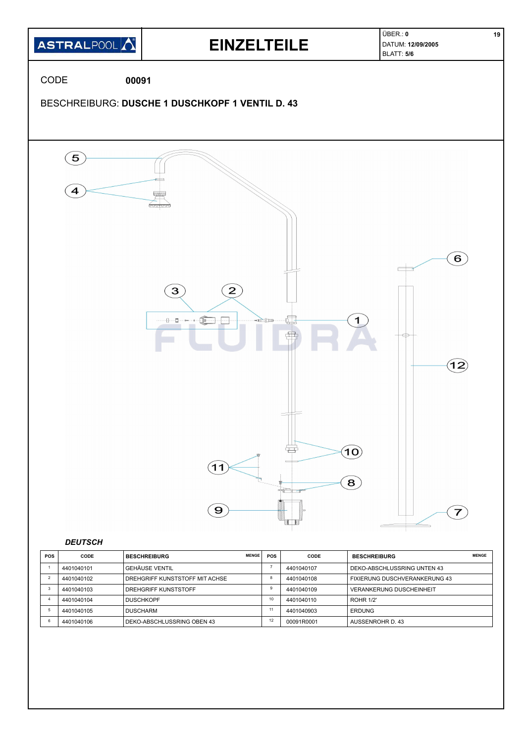

| <b>POS</b> | CODE       | <b>MENGE</b><br><b>BESCHREIBURG</b> | <b>POS</b> | CODE       | <b>BESCHREIBURG</b>             | <b>MENGE</b> |
|------------|------------|-------------------------------------|------------|------------|---------------------------------|--------------|
|            | 4401040101 | <b>GEHÄUSE VENTIL</b>               |            | 4401040107 | DEKO-ABSCHLUSSRING UNTEN 43     |              |
|            | 4401040102 | DREHGRIFF KUNSTSTOFF MIT ACHSE      | 8          | 4401040108 | FIXIERUNG DUSCHVERANKERUNG 43   |              |
|            | 4401040103 | DREHGRIFF KUNSTSTOFF                | g          | 4401040109 | <b>VERANKERUNG DUSCHEINHEIT</b> |              |
|            | 4401040104 | <b>DUSCHKOPF</b>                    | 10         | 4401040110 | <b>ROHR 1/2'</b>                |              |
|            | 4401040105 | <b>DUSCHARM</b>                     |            | 4401040903 | <b>ERDUNG</b>                   |              |
|            | 4401040106 | DEKO-ABSCHLUSSRING OBEN 43          | 12         | 00091R0001 | AUSSENROHR D. 43                |              |